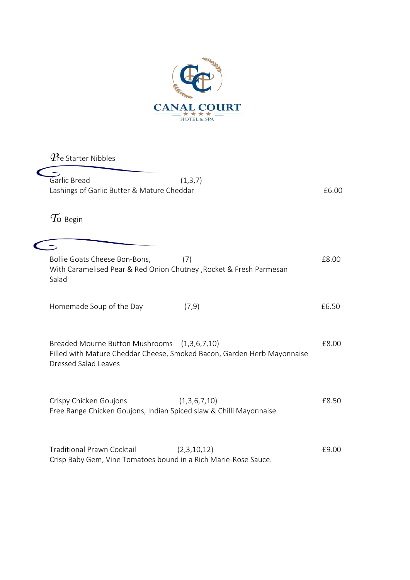

*P*re Starter Nibbles  $\overline{\phantom{a}}$ Garlic Bread (1,3,7) Lashings of Garlic Butter & Mature Cheddar **EG.00**  $T$ o Begin  $\sqrt{2}$ Bollie Goats Cheese Bon-Bons, (7) The Contract of the Case of the Case of the Case of the Case of the Case of the Case of the Case of the Case of the Case of the Case of the Case of the Case of the Case of the Case of the With Caramelised Pear & Red Onion Chutney ,Rocket & Fresh Parmesan Salad Homemade Soup of the Day (7,9) **EXACTE 10** E6.50 Breaded Mourne Button Mushrooms (1,3,6,7,10) 68.00 Filled with Mature Cheddar Cheese, Smoked Bacon, Garden Herb Mayonnaise Dressed Salad Leaves Crispy Chicken Goujons (1,3,6,7,10) E8.50 Free Range Chicken Goujons, Indian Spiced slaw & Chilli Mayonnaise Traditional Prawn Cocktail (2,3,10,12) 69.00 Crisp Baby Gem, Vine Tomatoes bound in a Rich Marie-Rose Sauce.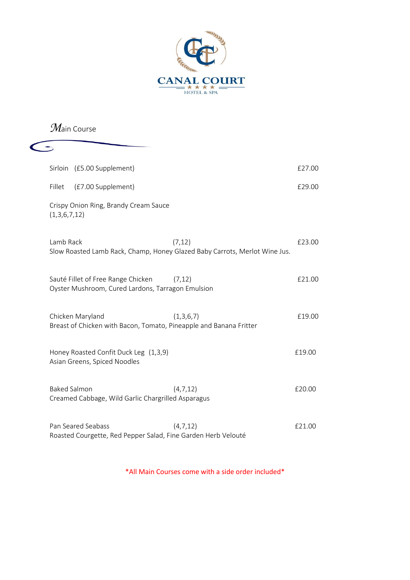

## *M*ain Course

| Sirloin (£5.00 Supplement)                                                              |           | £27.00 |
|-----------------------------------------------------------------------------------------|-----------|--------|
| Fillet<br>(£7.00 Supplement)                                                            |           | £29.00 |
| Crispy Onion Ring, Brandy Cream Sauce<br>(1,3,6,7,12)                                   |           |        |
| Lamb Rack<br>Slow Roasted Lamb Rack, Champ, Honey Glazed Baby Carrots, Merlot Wine Jus. | (7, 12)   | £23.00 |
| Sauté Fillet of Free Range Chicken<br>Oyster Mushroom, Cured Lardons, Tarragon Emulsion | (7, 12)   | £21.00 |
| Chicken Maryland<br>Breast of Chicken with Bacon, Tomato, Pineapple and Banana Fritter  | (1,3,6,7) | £19.00 |
| Honey Roasted Confit Duck Leg (1,3,9)<br>Asian Greens, Spiced Noodles                   |           | £19.00 |
| <b>Baked Salmon</b><br>Creamed Cabbage, Wild Garlic Chargrilled Asparagus               | (4,7,12)  | £20.00 |
| Pan Seared Seabass<br>Roasted Courgette, Red Pepper Salad, Fine Garden Herb Velouté     | (4,7,12)  | £21.00 |

\*All Main Courses come with a side order included\*